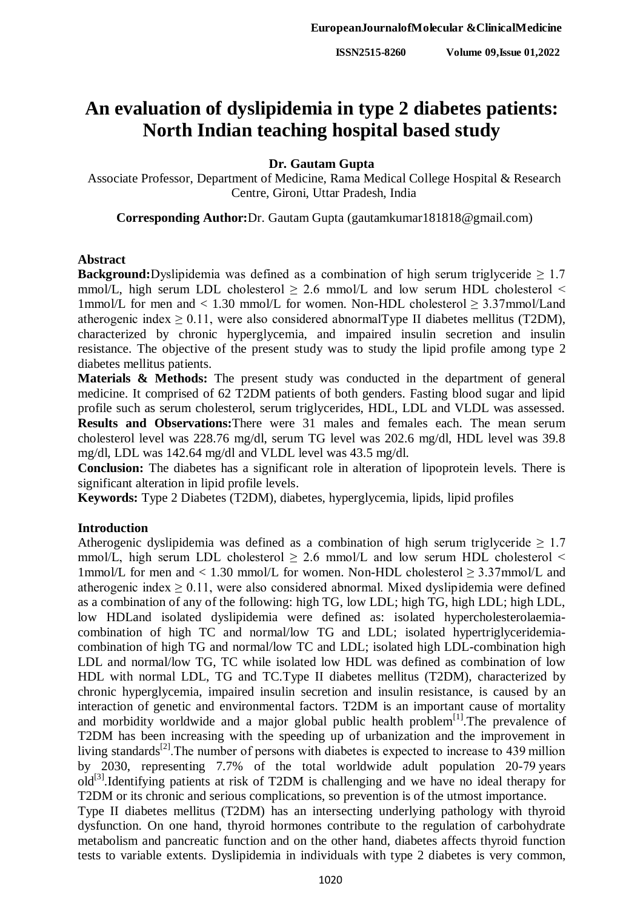# **An evaluation of dyslipidemia in type 2 diabetes patients: North Indian teaching hospital based study**

## **Dr. Gautam Gupta**

Associate Professor, Department of Medicine, Rama Medical College Hospital & Research Centre, Gironi, Uttar Pradesh, India

**Corresponding Author:**Dr. Gautam Gupta (gautamkumar181818@gmail.com)

### **Abstract**

**Background:**Dyslipidemia was defined as a combination of high serum triglyceride  $\geq 1.7$ mmol/L, high serum LDL cholesterol  $\geq$  2.6 mmol/L and low serum HDL cholesterol  $\leq$ 1mmol/L for men and < 1.30 mmol/L for women. Non-HDL cholesterol ≥ 3.37mmol/Land atherogenic index  $\geq 0.11$ , were also considered abnormalType II diabetes mellitus (T2DM), characterized by chronic hyperglycemia, and impaired insulin secretion and insulin resistance. The objective of the present study was to study the lipid profile among type 2 diabetes mellitus patients.

**Materials & Methods:** The present study was conducted in the department of general medicine. It comprised of 62 T2DM patients of both genders. Fasting blood sugar and lipid profile such as serum cholesterol, serum triglycerides, HDL, LDL and VLDL was assessed. **Results and Observations:**There were 31 males and females each. The mean serum cholesterol level was 228.76 mg/dl, serum TG level was 202.6 mg/dl, HDL level was 39.8 mg/dl, LDL was 142.64 mg/dl and VLDL level was 43.5 mg/dl.

**Conclusion:** The diabetes has a significant role in alteration of lipoprotein levels. There is significant alteration in lipid profile levels.

**Keywords:** Type 2 Diabetes (T2DM), diabetes, hyperglycemia, lipids, lipid profiles

## **Introduction**

Atherogenic dyslipidemia was defined as a combination of high serum triglyceride  $\geq 1.7$ mmol/L, high serum LDL cholesterol  $\geq$  2.6 mmol/L and low serum HDL cholesterol  $\leq$ 1mmol/L for men and < 1.30 mmol/L for women. Non-HDL cholesterol  $\geq$  3.37mmol/L and atherogenic index  $> 0.11$ , were also considered abnormal. Mixed dyslipidemia were defined as a combination of any of the following: high TG, low LDL; high TG, high LDL; high LDL, low HDLand isolated dyslipidemia were defined as: isolated hypercholesterolaemiacombination of high TC and normal/low TG and LDL; isolated hypertriglyceridemiacombination of high TG and normal/low TC and LDL; isolated high LDL-combination high LDL and normal/low TG, TC while isolated low HDL was defined as combination of low HDL with normal LDL, TG and TC.Type II diabetes mellitus (T2DM), characterized by chronic hyperglycemia, impaired insulin secretion and insulin resistance, is caused by an interaction of genetic and environmental factors. T2DM is an important cause of mortality and morbidity worldwide and a major global public health problem<sup>[1]</sup>. The prevalence of T2DM has been increasing with the speeding up of urbanization and the improvement in living standards<sup>[2]</sup>. The number of persons with diabetes is expected to increase to 439 million by 2030, representing 7.7% of the total worldwide adult population 20-79 years old<sup>[3]</sup>.Identifying patients at risk of T2DM is challenging and we have no ideal therapy for T2DM or its chronic and serious complications, so prevention is of the utmost importance. Type II diabetes mellitus (T2DM) has an intersecting underlying pathology with thyroid

dysfunction. On one hand, thyroid hormones contribute to the regulation of carbohydrate metabolism and pancreatic function and on the other hand, diabetes affects thyroid function tests to variable extents. Dyslipidemia in individuals with type 2 diabetes is very common,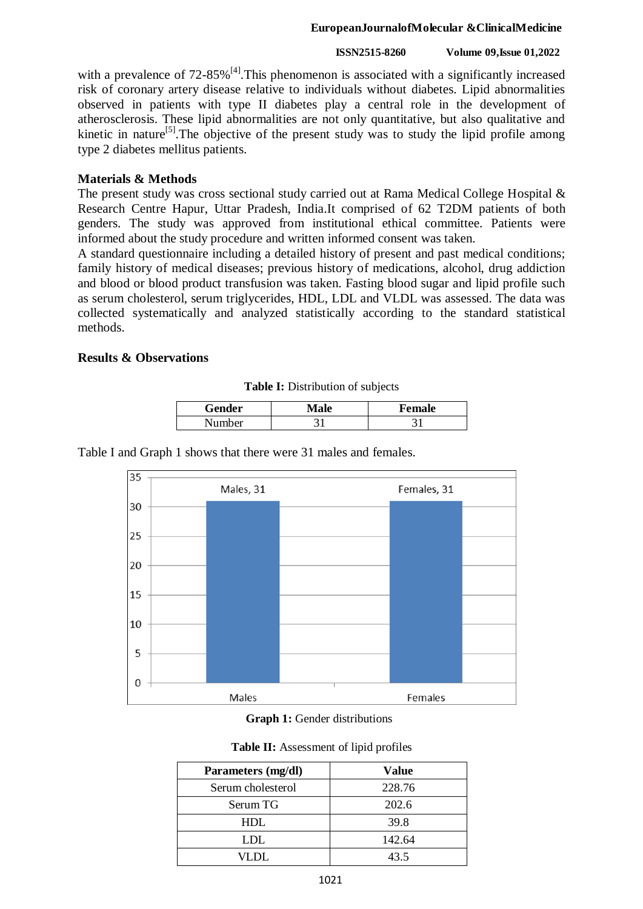#### **EuropeanJournalofMolecular &ClinicalMedicine**

#### **ISSN2515-8260 Volume 09,Issue 01,2022**

with a prevalence of  $72-85\%$ <sup>[4]</sup>. This phenomenon is associated with a significantly increased risk of coronary artery disease relative to individuals without diabetes. Lipid abnormalities observed in patients with type II diabetes play a central role in the development of atherosclerosis. These lipid abnormalities are not only quantitative, but also qualitative and kinetic in nature<sup>[5]</sup>. The objective of the present study was to study the lipid profile among type 2 diabetes mellitus patients.

### **Materials & Methods**

The present study was cross sectional study carried out at Rama Medical College Hospital & Research Centre Hapur, Uttar Pradesh, India.It comprised of 62 T2DM patients of both genders. The study was approved from institutional ethical committee. Patients were informed about the study procedure and written informed consent was taken.

A standard questionnaire including a detailed history of present and past medical conditions; family history of medical diseases; previous history of medications, alcohol, drug addiction and blood or blood product transfusion was taken. Fasting blood sugar and lipid profile such as serum cholesterol, serum triglycerides, HDL, LDL and VLDL was assessed. The data was collected systematically and analyzed statistically according to the standard statistical methods.

## **Results & Observations**

|  | Table I: Distribution of subjects |  |
|--|-----------------------------------|--|
|--|-----------------------------------|--|

| Gender | ale | Female |
|--------|-----|--------|
| Number |     |        |

Table I and Graph 1 shows that there were 31 males and females.



**Graph 1:** Gender distributions

|  | Table II: Assessment of lipid profiles |  |
|--|----------------------------------------|--|
|--|----------------------------------------|--|

| Parameters (mg/dl) | Value  |  |
|--------------------|--------|--|
| Serum cholesterol  | 228.76 |  |
| Serum TG           | 202.6  |  |
| HDL.               | 39.8   |  |
| LDL                | 142.64 |  |
| VLDL.              | 43.5   |  |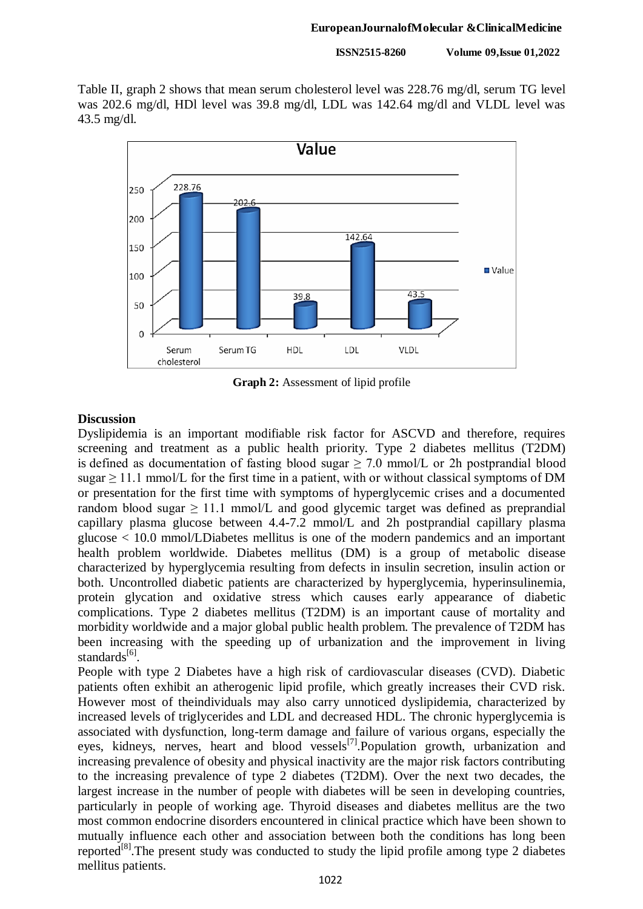**ISSN2515-8260 Volume 09,Issue 01,2022**

Table II, graph 2 shows that mean serum cholesterol level was 228.76 mg/dl, serum TG level was 202.6 mg/dl, HDl level was 39.8 mg/dl, LDL was 142.64 mg/dl and VLDL level was 43.5 mg/dl.



**Graph 2:** Assessment of lipid profile

## **Discussion**

Dyslipidemia is an important modifiable risk factor for ASCVD and therefore, requires screening and treatment as a public health priority. Type 2 diabetes mellitus (T2DM) is defined as documentation of fasting blood sugar  $\geq$  7.0 mmol/L or 2h postprandial blood sugar  $\geq$  11.1 mmol/L for the first time in a patient, with or without classical symptoms of DM or presentation for the first time with symptoms of hyperglycemic crises and a documented random blood sugar  $\geq 11.1$  mmol/L and good glycemic target was defined as preprandial capillary plasma glucose between 4.4-7.2 mmol/L and 2h postprandial capillary plasma glucose < 10.0 mmol/LDiabetes mellitus is one of the modern pandemics and an important health problem worldwide. Diabetes mellitus (DM) is a group of metabolic disease characterized by hyperglycemia resulting from defects in insulin secretion, insulin action or both. Uncontrolled diabetic patients are characterized by hyperglycemia, hyperinsulinemia, protein glycation and oxidative stress which causes early appearance of diabetic complications. Type 2 diabetes mellitus (T2DM) is an important cause of mortality and morbidity worldwide and a major global public health problem. The prevalence of T2DM has been increasing with the speeding up of urbanization and the improvement in living standards<sup>[6]</sup>.

People with type 2 Diabetes have a high risk of cardiovascular diseases (CVD). Diabetic patients often exhibit an atherogenic lipid profile, which greatly increases their CVD risk. However most of theindividuals may also carry unnoticed dyslipidemia, characterized by increased levels of triglycerides and LDL and decreased HDL. The chronic hyperglycemia is associated with dysfunction, long-term damage and failure of various organs, especially the eyes, kidneys, nerves, heart and blood vessels<sup>[7]</sup>. Population growth, urbanization and increasing prevalence of obesity and physical inactivity are the major risk factors contributing to the increasing prevalence of type 2 diabetes (T2DM). Over the next two decades, the largest increase in the number of people with diabetes will be seen in developing countries, particularly in people of working age. Thyroid diseases and diabetes mellitus are the two most common endocrine disorders encountered in clinical practice which have been shown to mutually influence each other and association between both the conditions has long been reported<sup>[8]</sup>. The present study was conducted to study the lipid profile among type 2 diabetes mellitus patients.